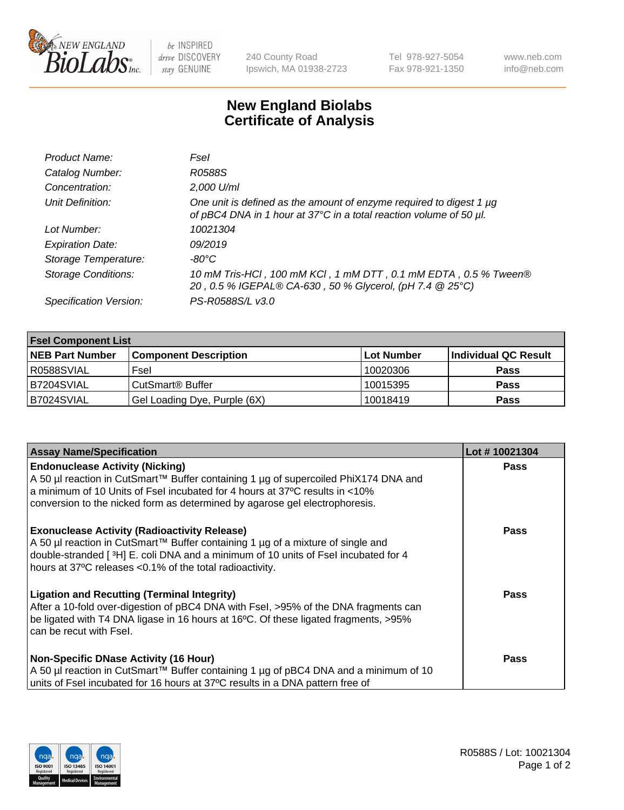

 $be$  INSPIRED drive DISCOVERY stay GENUINE

240 County Road Ipswich, MA 01938-2723 Tel 978-927-5054 Fax 978-921-1350 www.neb.com info@neb.com

## **New England Biolabs Certificate of Analysis**

| Product Name:              | Fsel                                                                                                                                           |
|----------------------------|------------------------------------------------------------------------------------------------------------------------------------------------|
| Catalog Number:            | R0588S                                                                                                                                         |
| Concentration:             | 2,000 U/ml                                                                                                                                     |
| Unit Definition:           | One unit is defined as the amount of enzyme required to digest 1 $\mu$ g<br>of pBC4 DNA in 1 hour at 37°C in a total reaction volume of 50 µl. |
| Lot Number:                | 10021304                                                                                                                                       |
| <b>Expiration Date:</b>    | 09/2019                                                                                                                                        |
| Storage Temperature:       | $-80^{\circ}$ C                                                                                                                                |
| <b>Storage Conditions:</b> | 10 mM Tris-HCl, 100 mM KCl, 1 mM DTT, 0.1 mM EDTA, 0.5 % Tween®<br>20, 0.5 % IGEPAL® CA-630, 50 % Glycerol, (pH 7.4 @ 25°C)                    |
| Specification Version:     | PS-R0588S/L v3.0                                                                                                                               |

| <b>Fsel Component List</b> |                              |            |                      |  |  |
|----------------------------|------------------------------|------------|----------------------|--|--|
| <b>NEB Part Number</b>     | <b>Component Description</b> | Lot Number | Individual QC Result |  |  |
| R0588SVIAL                 | Fsel                         | 10020306   | <b>Pass</b>          |  |  |
| B7204SVIAL                 | CutSmart <sup>®</sup> Buffer | 10015395   | <b>Pass</b>          |  |  |
| B7024SVIAL                 | Gel Loading Dye, Purple (6X) | 10018419   | <b>Pass</b>          |  |  |

| <b>Assay Name/Specification</b>                                                                                                                                                                                                                                                            | Lot #10021304 |
|--------------------------------------------------------------------------------------------------------------------------------------------------------------------------------------------------------------------------------------------------------------------------------------------|---------------|
| <b>Endonuclease Activity (Nicking)</b><br>A 50 µl reaction in CutSmart™ Buffer containing 1 µg of supercoiled PhiX174 DNA and                                                                                                                                                              | <b>Pass</b>   |
| a minimum of 10 Units of Fsel incubated for 4 hours at 37°C results in <10%<br>conversion to the nicked form as determined by agarose gel electrophoresis.                                                                                                                                 |               |
| <b>Exonuclease Activity (Radioactivity Release)</b><br>  A 50 µl reaction in CutSmart™ Buffer containing 1 µg of a mixture of single and<br>double-stranded [3H] E. coli DNA and a minimum of 10 units of Fsel incubated for 4<br>hours at 37°C releases <0.1% of the total radioactivity. | <b>Pass</b>   |
| <b>Ligation and Recutting (Terminal Integrity)</b><br>After a 10-fold over-digestion of pBC4 DNA with Fsel, >95% of the DNA fragments can<br>be ligated with T4 DNA ligase in 16 hours at 16°C. Of these ligated fragments, >95%<br>l can be recut with Fsel.                              | Pass          |
| Non-Specific DNase Activity (16 Hour)                                                                                                                                                                                                                                                      | <b>Pass</b>   |
| A 50 µl reaction in CutSmart™ Buffer containing 1 µg of pBC4 DNA and a minimum of 10<br>units of Fsel incubated for 16 hours at 37°C results in a DNA pattern free of                                                                                                                      |               |